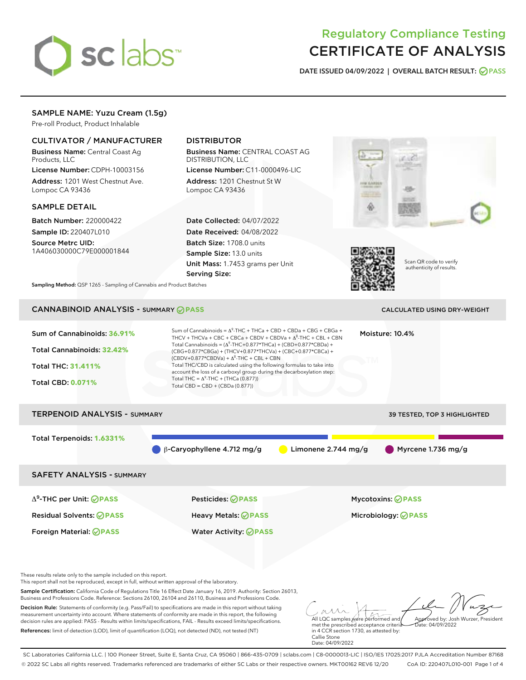# sclabs<sup>\*</sup>

# Regulatory Compliance Testing CERTIFICATE OF ANALYSIS

DATE ISSUED 04/09/2022 | OVERALL BATCH RESULT: @ PASS

# SAMPLE NAME: Yuzu Cream (1.5g)

Pre-roll Product, Product Inhalable

# CULTIVATOR / MANUFACTURER

Business Name: Central Coast Ag Products, LLC

License Number: CDPH-10003156 Address: 1201 West Chestnut Ave. Lompoc CA 93436

#### SAMPLE DETAIL

Batch Number: 220000422 Sample ID: 220407L010

Source Metrc UID: 1A406030000C79E000001844

# DISTRIBUTOR

Business Name: CENTRAL COAST AG DISTRIBUTION, LLC

License Number: C11-0000496-LIC Address: 1201 Chestnut St W Lompoc CA 93436

Date Collected: 04/07/2022 Date Received: 04/08/2022 Batch Size: 1708.0 units Sample Size: 13.0 units Unit Mass: 1.7453 grams per Unit Serving Size:





Scan QR code to verify authenticity of results.

Sampling Method: QSP 1265 - Sampling of Cannabis and Product Batches

# CANNABINOID ANALYSIS - SUMMARY **PASS** CALCULATED USING DRY-WEIGHT

| Sum of Cannabinoids: 36.91%<br>Total Cannabinoids: 32.42%<br><b>Total THC: 31.411%</b><br><b>Total CBD: 0.071%</b> | Sum of Cannabinoids = $A^9$ -THC + THCa + CBD + CBDa + CBG + CBGa +<br>THCV + THCVa + CBC + CBCa + CBDV + CBDVa + $\Delta^8$ -THC + CBL + CBN<br>Total Cannabinoids = $(\Delta^9$ -THC+0.877*THCa) + (CBD+0.877*CBDa) +<br>(CBG+0.877*CBGa) + (THCV+0.877*THCVa) + (CBC+0.877*CBCa) +<br>$(CBDV+0.877*CBDVa) + \Delta^8$ -THC + CBL + CBN<br>Total THC/CBD is calculated using the following formulas to take into<br>account the loss of a carboxyl group during the decarboxylation step:<br>Total THC = $\Delta^9$ -THC + (THCa (0.877))<br>Total CBD = $CBD + (CBDa (0.877))$ |                       | Moisture: 10.4%              |
|--------------------------------------------------------------------------------------------------------------------|-----------------------------------------------------------------------------------------------------------------------------------------------------------------------------------------------------------------------------------------------------------------------------------------------------------------------------------------------------------------------------------------------------------------------------------------------------------------------------------------------------------------------------------------------------------------------------------|-----------------------|------------------------------|
| <b>TERPENOID ANALYSIS - SUMMARY</b>                                                                                |                                                                                                                                                                                                                                                                                                                                                                                                                                                                                                                                                                                   |                       | 39 TESTED, TOP 3 HIGHLIGHTED |
| Total Terpenoids: 1.6331%                                                                                          | $\beta$ -Caryophyllene 4.712 mg/g                                                                                                                                                                                                                                                                                                                                                                                                                                                                                                                                                 | Limonene $2.744$ mg/g | Myrcene $1.736$ mg/g         |
| <b>SAFETY ANALYSIS - SUMMARY</b>                                                                                   |                                                                                                                                                                                                                                                                                                                                                                                                                                                                                                                                                                                   |                       |                              |
| $\Delta^9$ -THC per Unit: <b>PASS</b>                                                                              | <b>Pesticides: ⊘ PASS</b>                                                                                                                                                                                                                                                                                                                                                                                                                                                                                                                                                         |                       | <b>Mycotoxins: ⊘PASS</b>     |
| <b>Residual Solvents: ØPASS</b>                                                                                    | Heavy Metals: ⊘ PASS                                                                                                                                                                                                                                                                                                                                                                                                                                                                                                                                                              |                       | Microbiology: <b>⊘PASS</b>   |
| Foreign Material: <b>⊘ PASS</b>                                                                                    | <b>Water Activity: ⊘ PASS</b>                                                                                                                                                                                                                                                                                                                                                                                                                                                                                                                                                     |                       |                              |

These results relate only to the sample included on this report.

This report shall not be reproduced, except in full, without written approval of the laboratory.

Sample Certification: California Code of Regulations Title 16 Effect Date January 16, 2019. Authority: Section 26013, Business and Professions Code. Reference: Sections 26100, 26104 and 26110, Business and Professions Code.

Decision Rule: Statements of conformity (e.g. Pass/Fail) to specifications are made in this report without taking measurement uncertainty into account. Where statements of conformity are made in this report, the following decision rules are applied: PASS - Results within limits/specifications, FAIL - Results exceed limits/specifications. References: limit of detection (LOD), limit of quantification (LOQ), not detected (ND), not tested (NT)

All LQC samples were performed and Approved by: Josh Wurzer, President  $hat: 04/09/2022$ 

met the prescribed acceptance criteria in 4 CCR section 1730, as attested by: Callie Stone Date: 04/09/2022

SC Laboratories California LLC. | 100 Pioneer Street, Suite E, Santa Cruz, CA 95060 | 866-435-0709 | sclabs.com | C8-0000013-LIC | ISO/IES 17025:2017 PJLA Accreditation Number 87168 © 2022 SC Labs all rights reserved. Trademarks referenced are trademarks of either SC Labs or their respective owners. MKT00162 REV6 12/20 CoA ID: 220407L010-001 Page 1 of 4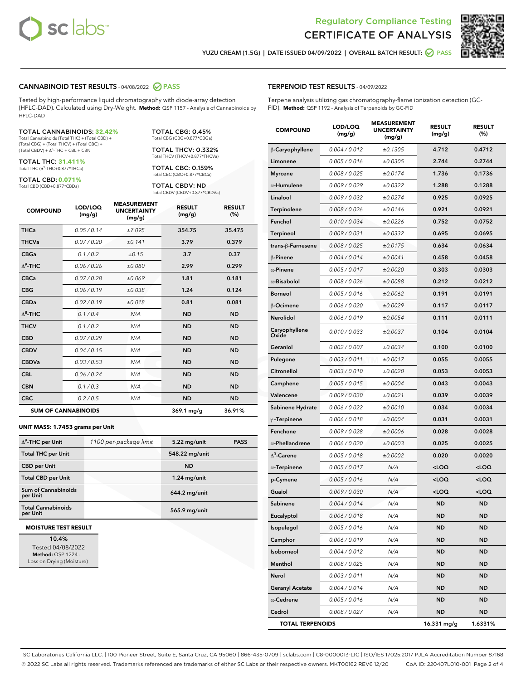



YUZU CREAM (1.5G) | DATE ISSUED 04/09/2022 | OVERALL BATCH RESULT: **○** PASS

#### CANNABINOID TEST RESULTS - 04/08/2022 2 PASS

Tested by high-performance liquid chromatography with diode-array detection (HPLC-DAD). Calculated using Dry-Weight. **Method:** QSP 1157 - Analysis of Cannabinoids by HPLC-DAD

#### TOTAL CANNABINOIDS: **32.42%**

Total Cannabinoids (Total THC) + (Total CBD) + (Total CBG) + (Total THCV) + (Total CBC) +  $(Total$  CBDV) +  $\Delta$ <sup>8</sup>-THC + CBL + CBN

TOTAL THC: **31.411%** Total THC (Δ<sup>9</sup> -THC+0.877\*THCa)

TOTAL CBD: **0.071%** Total CBD (CBD+0.877\*CBDa)

TOTAL CBG: 0.45% Total CBG (CBG+0.877\*CBGa)

TOTAL THCV: 0.332% Total THCV (THCV+0.877\*THCVa)

TOTAL CBC: 0.159% Total CBC (CBC+0.877\*CBCa)

TOTAL CBDV: ND Total CBDV (CBDV+0.877\*CBDVa)

| <b>COMPOUND</b>  | LOD/LOQ<br>(mg/g)          | <b>MEASUREMENT</b><br><b>UNCERTAINTY</b><br>(mg/g) | <b>RESULT</b><br>(mg/g) | <b>RESULT</b><br>(%) |
|------------------|----------------------------|----------------------------------------------------|-------------------------|----------------------|
| <b>THCa</b>      | 0.05/0.14                  | ±7.095                                             | 354.75                  | 35.475               |
| <b>THCVa</b>     | 0.07 / 0.20                | ±0.141                                             | 3.79                    | 0.379                |
| <b>CBGa</b>      | 0.1/0.2                    | ±0.15                                              | 3.7                     | 0.37                 |
| $\Delta^9$ -THC  | 0.06 / 0.26                | ±0.080                                             | 2.99                    | 0.299                |
| <b>CBCa</b>      | 0.07/0.28                  | ±0.069                                             | 1.81                    | 0.181                |
| <b>CBG</b>       | 0.06/0.19                  | ±0.038                                             | 1.24                    | 0.124                |
| <b>CBDa</b>      | 0.02 / 0.19                | ±0.018                                             | 0.81                    | 0.081                |
| $\Lambda^8$ -THC | 0.1/0.4                    | N/A                                                | <b>ND</b>               | <b>ND</b>            |
| <b>THCV</b>      | 0.1/0.2                    | N/A                                                | <b>ND</b>               | <b>ND</b>            |
| <b>CBD</b>       | 0.07/0.29                  | N/A                                                | <b>ND</b>               | <b>ND</b>            |
| <b>CBDV</b>      | 0.04 / 0.15                | N/A                                                | <b>ND</b>               | <b>ND</b>            |
| <b>CBDVa</b>     | 0.03 / 0.53                | N/A                                                | <b>ND</b>               | <b>ND</b>            |
| <b>CBL</b>       | 0.06 / 0.24                | N/A                                                | <b>ND</b>               | <b>ND</b>            |
| <b>CBN</b>       | 0.1/0.3                    | N/A                                                | <b>ND</b>               | <b>ND</b>            |
| <b>CBC</b>       | 0.2 / 0.5                  | N/A                                                | <b>ND</b>               | <b>ND</b>            |
|                  | <b>SUM OF CANNABINOIDS</b> |                                                    | $369.1 \,\mathrm{mg/g}$ | 36.91%               |

#### **UNIT MASS: 1.7453 grams per Unit**

| $\Delta^9$ -THC per Unit               | 1100 per-package limit | 5.22 mg/unit   | <b>PASS</b> |
|----------------------------------------|------------------------|----------------|-------------|
| <b>Total THC per Unit</b>              |                        | 548.22 mg/unit |             |
| <b>CBD per Unit</b>                    |                        | <b>ND</b>      |             |
| <b>Total CBD per Unit</b>              |                        | $1.24$ mg/unit |             |
| <b>Sum of Cannabinoids</b><br>per Unit |                        | 644.2 mg/unit  |             |
| <b>Total Cannabinoids</b><br>per Unit  |                        | 565.9 mg/unit  |             |

#### **MOISTURE TEST RESULT**

10.4% Tested 04/08/2022 Method: QSP 1224 - Loss on Drying (Moisture)

#### TERPENOID TEST RESULTS - 04/09/2022

Terpene analysis utilizing gas chromatography-flame ionization detection (GC-FID). **Method:** QSP 1192 - Analysis of Terpenoids by GC-FID

| <b>COMPOUND</b>         | LOD/LOQ<br>(mg/g) | <b>MEASUREMENT</b><br><b>UNCERTAINTY</b><br>(mg/g) | <b>RESULT</b><br>(mg/g)                         | <b>RESULT</b><br>$(\%)$ |
|-------------------------|-------------------|----------------------------------------------------|-------------------------------------------------|-------------------------|
| β-Caryophyllene         | 0.004 / 0.012     | ±0.1305                                            | 4.712                                           | 0.4712                  |
| Limonene                | 0.005 / 0.016     | ±0.0305                                            | 2.744                                           | 0.2744                  |
| <b>Myrcene</b>          | 0.008 / 0.025     | ±0.0174                                            | 1.736                                           | 0.1736                  |
| $\alpha$ -Humulene      | 0.009 / 0.029     | ±0.0322                                            | 1.288                                           | 0.1288                  |
| Linalool                | 0.009 / 0.032     | ±0.0274                                            | 0.925                                           | 0.0925                  |
| Terpinolene             | 0.008 / 0.026     | ±0.0146                                            | 0.921                                           | 0.0921                  |
| Fenchol                 | 0.010 / 0.034     | ±0.0226                                            | 0.752                                           | 0.0752                  |
| <b>Terpineol</b>        | 0.009 / 0.031     | ±0.0332                                            | 0.695                                           | 0.0695                  |
| trans-ß-Farnesene       | 0.008 / 0.025     | ±0.0175                                            | 0.634                                           | 0.0634                  |
| $\beta$ -Pinene         | 0.004 / 0.014     | ±0.0041                                            | 0.458                                           | 0.0458                  |
| $\alpha$ -Pinene        | 0.005 / 0.017     | ±0.0020                                            | 0.303                                           | 0.0303                  |
| $\alpha$ -Bisabolol     | 0.008 / 0.026     | ±0.0088                                            | 0.212                                           | 0.0212                  |
| <b>Borneol</b>          | 0.005 / 0.016     | ±0.0062                                            | 0.191                                           | 0.0191                  |
| <b>B-Ocimene</b>        | 0.006 / 0.020     | ±0.0029                                            | 0.117                                           | 0.0117                  |
| Nerolidol               | 0.006 / 0.019     | ±0.0054                                            | 0.111                                           | 0.0111                  |
| Caryophyllene<br>Oxide  | 0.010 / 0.033     | ±0.0037                                            | 0.104                                           | 0.0104                  |
| Geraniol                | 0.002 / 0.007     | ±0.0034                                            | 0.100                                           | 0.0100                  |
| Pulegone                | 0.003 / 0.011     | ±0.0017                                            | 0.055                                           | 0.0055                  |
| Citronellol             | 0.003 / 0.010     | ±0.0020                                            | 0.053                                           | 0.0053                  |
| Camphene                | 0.005 / 0.015     | ±0.0004                                            | 0.043                                           | 0.0043                  |
| Valencene               | 0.009 / 0.030     | ±0.0021                                            | 0.039                                           | 0.0039                  |
| Sabinene Hydrate        | 0.006 / 0.022     | ±0.0010                                            | 0.034                                           | 0.0034                  |
| $\gamma$ -Terpinene     | 0.006 / 0.018     | ±0.0004                                            | 0.031                                           | 0.0031                  |
| Fenchone                | 0.009 / 0.028     | ±0.0006                                            | 0.028                                           | 0.0028                  |
| $\alpha$ -Phellandrene  | 0.006 / 0.020     | ±0.0003                                            | 0.025                                           | 0.0025                  |
| $\Delta^3$ -Carene      | 0.005 / 0.018     | ±0.0002                                            | 0.020                                           | 0.0020                  |
| $\alpha$ -Terpinene     | 0.005 / 0.017     | N/A                                                | <loq< th=""><th><loq< th=""></loq<></th></loq<> | <loq< th=""></loq<>     |
| p-Cymene                | 0.005 / 0.016     | N/A                                                | <loq< th=""><th><loq< th=""></loq<></th></loq<> | <loq< th=""></loq<>     |
| Guaiol                  | 0.009 / 0.030     | N/A                                                | <loq< th=""><th><loq< th=""></loq<></th></loq<> | <loq< th=""></loq<>     |
| Sabinene                | 0.004 / 0.014     | N/A                                                | <b>ND</b>                                       | <b>ND</b>               |
| Eucalyptol              | 0.006 / 0.018     | N/A                                                | ND                                              | ND                      |
| Isopulegol              | 0.005 / 0.016     | N/A                                                | <b>ND</b>                                       | ND                      |
| Camphor                 | 0.006 / 0.019     | N/A                                                | ND                                              | <b>ND</b>               |
| Isoborneol              | 0.004 / 0.012     | N/A                                                | ND                                              | <b>ND</b>               |
| Menthol                 | 0.008 / 0.025     | N/A                                                | ND                                              | ND                      |
| Nerol                   | 0.003 / 0.011     | N/A                                                | ND                                              | ND                      |
| <b>Geranyl Acetate</b>  | 0.004 / 0.014     | N/A                                                | ND                                              | <b>ND</b>               |
| $\alpha$ -Cedrene       | 0.005 / 0.016     | N/A                                                | ND                                              | ND                      |
| Cedrol                  | 0.008 / 0.027     | N/A                                                | ND                                              | ND                      |
| <b>TOTAL TERPENOIDS</b> |                   |                                                    | 16.331 mg/g                                     | 1.6331%                 |

SC Laboratories California LLC. | 100 Pioneer Street, Suite E, Santa Cruz, CA 95060 | 866-435-0709 | sclabs.com | C8-0000013-LIC | ISO/IES 17025:2017 PJLA Accreditation Number 87168 © 2022 SC Labs all rights reserved. Trademarks referenced are trademarks of either SC Labs or their respective owners. MKT00162 REV6 12/20 CoA ID: 220407L010-001 Page 2 of 4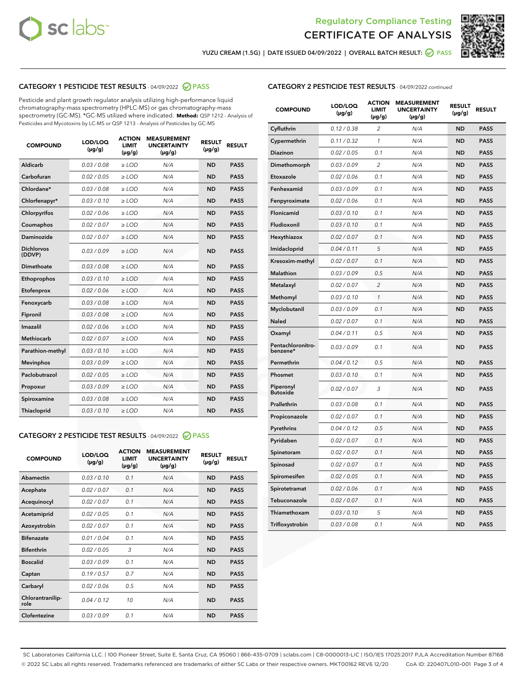



YUZU CREAM (1.5G) | DATE ISSUED 04/09/2022 | OVERALL BATCH RESULT: ● PASS

# CATEGORY 1 PESTICIDE TEST RESULTS - 04/09/2022 2 PASS

Pesticide and plant growth regulator analysis utilizing high-performance liquid chromatography-mass spectrometry (HPLC-MS) or gas chromatography-mass spectrometry (GC-MS). \*GC-MS utilized where indicated. **Method:** QSP 1212 - Analysis of Pesticides and Mycotoxins by LC-MS or QSP 1213 - Analysis of Pesticides by GC-MS

| <b>COMPOUND</b>             | LOD/LOQ<br>$(\mu g/g)$ | <b>ACTION</b><br>LIMIT<br>$(\mu g/g)$ | <b>MEASUREMENT</b><br><b>UNCERTAINTY</b><br>$(\mu g/g)$ | <b>RESULT</b><br>$(\mu g/g)$ | <b>RESULT</b> |
|-----------------------------|------------------------|---------------------------------------|---------------------------------------------------------|------------------------------|---------------|
| <b>Aldicarb</b>             | 0.03 / 0.08            | $\geq$ LOD                            | N/A                                                     | <b>ND</b>                    | <b>PASS</b>   |
| Carbofuran                  | 0.02 / 0.05            | $\ge$ LOD                             | N/A                                                     | <b>ND</b>                    | <b>PASS</b>   |
| Chlordane*                  | 0.03/0.08              | $>$ LOD                               | N/A                                                     | <b>ND</b>                    | <b>PASS</b>   |
| Chlorfenapyr*               | 0.03/0.10              | ≥ LOD                                 | N/A                                                     | <b>ND</b>                    | <b>PASS</b>   |
| Chlorpyrifos                | 0.02/0.06              | $>$ LOD                               | N/A                                                     | <b>ND</b>                    | <b>PASS</b>   |
| Coumaphos                   | 0.02 / 0.07            | $\ge$ LOD                             | N/A                                                     | <b>ND</b>                    | <b>PASS</b>   |
| Daminozide                  | 0.02 / 0.07            | ≥ LOD                                 | N/A                                                     | <b>ND</b>                    | <b>PASS</b>   |
| <b>Dichlorvos</b><br>(DDVP) | 0.03/0.09              | > LOD                                 | N/A                                                     | <b>ND</b>                    | <b>PASS</b>   |
| Dimethoate                  | 0.03 / 0.08            | $>$ LOD                               | N/A                                                     | <b>ND</b>                    | <b>PASS</b>   |
| Ethoprophos                 | 0.03/0.10              | $>$ LOD                               | N/A                                                     | <b>ND</b>                    | <b>PASS</b>   |
| Etofenprox                  | 0.02 / 0.06            | $\geq$ LOD                            | N/A                                                     | <b>ND</b>                    | <b>PASS</b>   |
| Fenoxycarb                  | 0.03/0.08              | $>$ LOD                               | N/A                                                     | <b>ND</b>                    | <b>PASS</b>   |
| Fipronil                    | 0.03 / 0.08            | $\ge$ LOD                             | N/A                                                     | <b>ND</b>                    | <b>PASS</b>   |
| Imazalil                    | 0.02 / 0.06            | $\geq$ LOD                            | N/A                                                     | <b>ND</b>                    | <b>PASS</b>   |
| <b>Methiocarb</b>           | 0.02 / 0.07            | $\ge$ LOD                             | N/A                                                     | <b>ND</b>                    | <b>PASS</b>   |
| Parathion-methyl            | 0.03/0.10              | $>$ LOD                               | N/A                                                     | <b>ND</b>                    | <b>PASS</b>   |
| <b>Mevinphos</b>            | 0.03/0.09              | $\ge$ LOD                             | N/A                                                     | <b>ND</b>                    | <b>PASS</b>   |
| Paclobutrazol               | 0.02 / 0.05            | $\ge$ LOD                             | N/A                                                     | <b>ND</b>                    | <b>PASS</b>   |
| Propoxur                    | 0.03/0.09              | $\geq$ LOD                            | N/A                                                     | <b>ND</b>                    | <b>PASS</b>   |
| Spiroxamine                 | 0.03 / 0.08            | $\ge$ LOD                             | N/A                                                     | <b>ND</b>                    | <b>PASS</b>   |
| Thiacloprid                 | 0.03/0.10              | $\geq$ LOD                            | N/A                                                     | <b>ND</b>                    | <b>PASS</b>   |

# CATEGORY 2 PESTICIDE TEST RESULTS - 04/09/2022 @ PASS

| <b>COMPOUND</b>          | LOD/LOO<br>$(\mu g/g)$ | <b>ACTION</b><br>LIMIT<br>$(\mu g/g)$ | <b>MEASUREMENT</b><br><b>UNCERTAINTY</b><br>$(\mu g/g)$ | <b>RESULT</b><br>$(\mu g/g)$ | <b>RESULT</b> |  |
|--------------------------|------------------------|---------------------------------------|---------------------------------------------------------|------------------------------|---------------|--|
| Abamectin                | 0.03/0.10              | 0.1                                   | N/A                                                     | <b>ND</b>                    | <b>PASS</b>   |  |
| Acephate                 | 0.02/0.07              | 0.1                                   | N/A                                                     | <b>ND</b>                    | <b>PASS</b>   |  |
| Acequinocyl              | 0.02/0.07              | 0.1                                   | N/A                                                     | <b>ND</b>                    | <b>PASS</b>   |  |
| Acetamiprid              | 0.02 / 0.05            | 0.1                                   | N/A                                                     | <b>ND</b>                    | <b>PASS</b>   |  |
| Azoxystrobin             | 0.02/0.07              | 0.1                                   | N/A                                                     | <b>ND</b>                    | <b>PASS</b>   |  |
| <b>Bifenazate</b>        | 0.01/0.04              | 0.1                                   | N/A                                                     | <b>ND</b>                    | <b>PASS</b>   |  |
| <b>Bifenthrin</b>        | 0.02/0.05              | 3                                     | N/A                                                     | <b>ND</b>                    | <b>PASS</b>   |  |
| <b>Boscalid</b>          | 0.03/0.09              | 0.1                                   | N/A                                                     | <b>ND</b>                    | <b>PASS</b>   |  |
| Captan                   | 0.19/0.57              | 0.7                                   | N/A                                                     | <b>ND</b>                    | <b>PASS</b>   |  |
| Carbaryl                 | 0.02/0.06              | 0.5                                   | N/A                                                     | <b>ND</b>                    | <b>PASS</b>   |  |
| Chlorantranilip-<br>role | 0.04/0.12              | 10                                    | N/A                                                     | <b>ND</b>                    | <b>PASS</b>   |  |
| Clofentezine             | 0.03/0.09              | 0.1                                   | N/A                                                     | <b>ND</b>                    | <b>PASS</b>   |  |

## CATEGORY 2 PESTICIDE TEST RESULTS - 04/09/2022 continued

| <b>COMPOUND</b>               | LOD/LOQ<br>(µg/g) | <b>ACTION</b><br>LIMIT<br>$(\mu g/g)$ | <b>MEASUREMENT</b><br><b>UNCERTAINTY</b><br>$(\mu g/g)$ | <b>RESULT</b><br>(µg/g) | <b>RESULT</b> |
|-------------------------------|-------------------|---------------------------------------|---------------------------------------------------------|-------------------------|---------------|
| Cyfluthrin                    | 0.12 / 0.38       | 2                                     | N/A                                                     | <b>ND</b>               | <b>PASS</b>   |
| Cypermethrin                  | 0.11 / 0.32       | 1                                     | N/A                                                     | <b>ND</b>               | <b>PASS</b>   |
| Diazinon                      | 0.02 / 0.05       | 0.1                                   | N/A                                                     | <b>ND</b>               | <b>PASS</b>   |
| Dimethomorph                  | 0.03 / 0.09       | 2                                     | N/A                                                     | <b>ND</b>               | <b>PASS</b>   |
| Etoxazole                     | 0.02 / 0.06       | 0.1                                   | N/A                                                     | ND                      | <b>PASS</b>   |
| Fenhexamid                    | 0.03 / 0.09       | 0.1                                   | N/A                                                     | <b>ND</b>               | <b>PASS</b>   |
| Fenpyroximate                 | 0.02 / 0.06       | 0.1                                   | N/A                                                     | <b>ND</b>               | <b>PASS</b>   |
| Flonicamid                    | 0.03 / 0.10       | 0.1                                   | N/A                                                     | <b>ND</b>               | <b>PASS</b>   |
| Fludioxonil                   | 0.03 / 0.10       | 0.1                                   | N/A                                                     | <b>ND</b>               | <b>PASS</b>   |
| Hexythiazox                   | 0.02 / 0.07       | 0.1                                   | N/A                                                     | <b>ND</b>               | <b>PASS</b>   |
| Imidacloprid                  | 0.04 / 0.11       | 5                                     | N/A                                                     | <b>ND</b>               | <b>PASS</b>   |
| Kresoxim-methyl               | 0.02 / 0.07       | 0.1                                   | N/A                                                     | <b>ND</b>               | <b>PASS</b>   |
| <b>Malathion</b>              | 0.03 / 0.09       | 0.5                                   | N/A                                                     | <b>ND</b>               | <b>PASS</b>   |
| Metalaxyl                     | 0.02 / 0.07       | $\overline{c}$                        | N/A                                                     | <b>ND</b>               | <b>PASS</b>   |
| Methomyl                      | 0.03 / 0.10       | $\mathcal{I}$                         | N/A                                                     | <b>ND</b>               | <b>PASS</b>   |
| Myclobutanil                  | 0.03 / 0.09       | 0.1                                   | N/A                                                     | <b>ND</b>               | <b>PASS</b>   |
| Naled                         | 0.02 / 0.07       | 0.1                                   | N/A                                                     | <b>ND</b>               | <b>PASS</b>   |
| Oxamyl                        | 0.04 / 0.11       | 0.5                                   | N/A                                                     | <b>ND</b>               | <b>PASS</b>   |
| Pentachloronitro-<br>benzene* | 0.03/0.09         | 0.1                                   | N/A                                                     | <b>ND</b>               | <b>PASS</b>   |
| Permethrin                    | 0.04 / 0.12       | 0.5                                   | N/A                                                     | ND                      | <b>PASS</b>   |
| Phosmet                       | 0.03 / 0.10       | 0.1                                   | N/A                                                     | <b>ND</b>               | <b>PASS</b>   |
| Piperonyl<br><b>Butoxide</b>  | 0.02 / 0.07       | 3                                     | N/A                                                     | <b>ND</b>               | <b>PASS</b>   |
| Prallethrin                   | 0.03 / 0.08       | 0.1                                   | N/A                                                     | <b>ND</b>               | <b>PASS</b>   |
| Propiconazole                 | 0.02 / 0.07       | 0.1                                   | N/A                                                     | <b>ND</b>               | <b>PASS</b>   |
| Pyrethrins                    | 0.04 / 0.12       | 0.5                                   | N/A                                                     | <b>ND</b>               | <b>PASS</b>   |
| Pyridaben                     | 0.02 / 0.07       | 0.1                                   | N/A                                                     | ND                      | <b>PASS</b>   |
| Spinetoram                    | 0.02 / 0.07       | 0.1                                   | N/A                                                     | <b>ND</b>               | <b>PASS</b>   |
| Spinosad                      | 0.02 / 0.07       | 0.1                                   | N/A                                                     | <b>ND</b>               | <b>PASS</b>   |
| Spiromesifen                  | 0.02 / 0.05       | 0.1                                   | N/A                                                     | <b>ND</b>               | <b>PASS</b>   |
| Spirotetramat                 | 0.02 / 0.06       | 0.1                                   | N/A                                                     | <b>ND</b>               | <b>PASS</b>   |
| Tebuconazole                  | 0.02 / 0.07       | 0.1                                   | N/A                                                     | <b>ND</b>               | <b>PASS</b>   |
| Thiamethoxam                  | 0.03 / 0.10       | 5                                     | N/A                                                     | ND                      | <b>PASS</b>   |
| Trifloxystrobin               | 0.03 / 0.08       | 0.1                                   | N/A                                                     | <b>ND</b>               | <b>PASS</b>   |

SC Laboratories California LLC. | 100 Pioneer Street, Suite E, Santa Cruz, CA 95060 | 866-435-0709 | sclabs.com | C8-0000013-LIC | ISO/IES 17025:2017 PJLA Accreditation Number 87168 © 2022 SC Labs all rights reserved. Trademarks referenced are trademarks of either SC Labs or their respective owners. MKT00162 REV6 12/20 CoA ID: 220407L010-001 Page 3 of 4